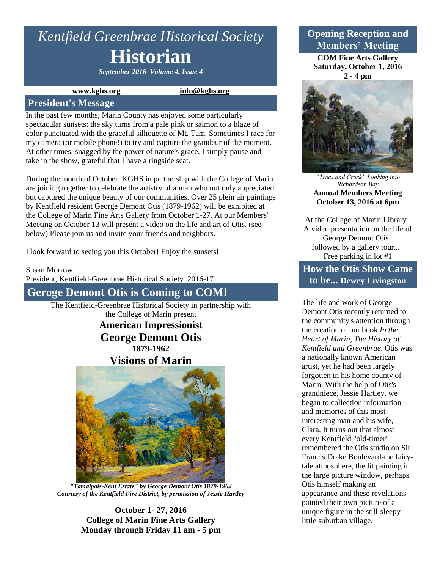# *Kentfield Greenbrae Historical Society* **Historian**

*September 2016 Volume 4, Issue 4*

#### **www.kghs.org [info@kghs.org](mailto:info@kghs.org)**

#### **President's Message**

In the past few months, Marin County has enjoyed some particularly spectacular sunsets: the sky turns from a pale pink or salmon to a blaze of color punctuated with the graceful silhouette of Mt. Tam. Sometimes I race for my camera (or mobile phone!) to try and capture the grandeur of the moment. At other times, snagged by the power of nature's grace, I simply pause and take in the show, grateful that I have a ringside seat.

During the month of October, KGHS in partnership with the College of Marin are joining together to celebrate the artistry of a man who not only appreciated but captured the unique beauty of our communities. Over 25 plein air paintings by Kentfield resident George Demont Otis (1879-1962) will be exhibited at the College of Marin Fine Arts Gallery from October 1-27. At our Members' Meeting on October 13 will present a video on the life and art of Otis. (see below) Please join us and invite your friends and neighbors.

I look forward to seeing you this October! Enjoy the sunsets!

Susan Morrow

President, Kentfield-Greenbrae Historical Society 2016-17

**Geroge Demont Otis is Coming to COM!**

The Kentfield-Greenbrae Historical Society in partnership with the College of Marin present

> **American Impressionist George Demont Otis 1879-1962**

**Visions of Marin**



*"Tamalpais-Kent Estate" by George Demont Otis 1879-1962 Courtesy of the Kentfield Fire District, by permission of Jessie Hartley*

**October 1- 27, 2016 College of Marin Fine Arts Gallery Monday through Friday 11 am - 5 pm**

# **Opening Reception and Members' Meeting**

**COM Fine Arts Gallery Saturday, October 1, 2016 2 - 4 pm**



*"Trees and Creek" Looking into Richardson Bay* **Annual Members Meeting October 13, 2016 at 6pm**

At the College of Marin Library A video presentation on the life of George Demont Otis followed by a gallery tour... Free parking in lot #1

# **How the Otis Show Came to be... Dewey Livingston**

The life and work of George Demont Otis recently returned to the community's attention through the creation of our book *In the Heart of Marin, The History of Kentfield and Greenbrae*. Otis was a nationally known American artist, yet he had been largely forgotten in his home county of Marin. With the help of Otis's grandniece, Jessie Hartley, we began to collection information and memories of this most interesting man and his wife, Clara. It turns out that almost every Kentfield "old-timer" remembered the Otis studio on Sir Francis Drake Boulevard-the fairytale atmosphere, the lit painting in the large picture window, perhaps Otis himself making an appearance-and these revelations painted their own picture of a unique figure in the still-sleepy little suburban village.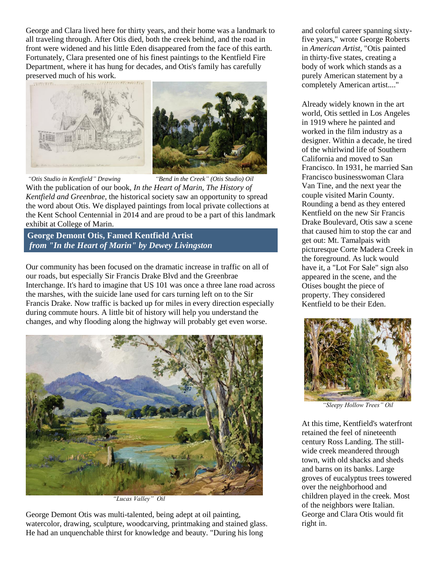George and Clara lived here for thirty years, and their home was a landmark to all traveling through. After Otis died, both the creek behind, and the road in front were widened and his little Eden disappeared from the face of this earth. Fortunately, Clara presented one of his finest paintings to the Kentfield Fire Department, where it has hung for decades, and Otis's family has carefully preserved much of his work.



*"Otis Studio in Kentfield" Drawing "Bend in the Creek" (Otis Studio) Oil* With the publication of our book, *In the Heart of Marin, The History of Kentfield and Greenbrae,* the historical society saw an opportunity to spread the word about Otis. We displayed paintings from local private collections at the Kent School Centennial in 2014 and are proud to be a part of this landmark exhibit at College of Marin.

**George Demont Otis, Famed Kentfield Artist** *from "In the Heart of Marin" by Dewey Livingston*

Our community has been focused on the dramatic increase in traffic on all of our roads, but especially Sir Francis Drake Blvd and the Greenbrae Interchange. It's hard to imagine that US 101 was once a three lane road across the marshes, with the suicide lane used for cars turning left on to the Sir Francis Drake. Now traffic is backed up for miles in every direction especially during commute hours. A little bit of history will help you understand the changes, and why flooding along the highway will probably get even worse.



*"Lucas Valley" Oil*

George Demont Otis was multi-talented, being adept at oil painting, watercolor, drawing, sculpture, woodcarving, printmaking and stained glass. He had an unquenchable thirst for knowledge and beauty. "During his long

and colorful career spanning sixtyfive years," wrote George Roberts in *American Artist,* "Otis painted in thirty-five states, creating a body of work which stands as a purely American statement by a completely American artist...."

Already widely known in the art world, Otis settled in Los Angeles in 1919 where he painted and worked in the film industry as a designer. Within a decade, he tired of the whirlwind life of Southern California and moved to San Francisco. In 1931, he married San Francisco businesswoman Clara Van Tine, and the next year the couple visited Marin County. Rounding a bend as they entered Kentfield on the new Sir Francis Drake Boulevard, Otis saw a scene that caused him to stop the car and get out: Mt. Tamalpais with picturesque Corte Madera Creek in the foreground. As luck would have it, a "Lot For Sale" sign also appeared in the scene, and the Otises bought the piece of property. They considered Kentfield to be their Eden.



*"Sleepy Hollow Trees" Oil*

At this time, Kentfield's waterfront retained the feel of nineteenth century Ross Landing. The stillwide creek meandered through town, with old shacks and sheds and barns on its banks. Large groves of eucalyptus trees towered over the neighborhood and children played in the creek. Most of the neighbors were Italian. George and Clara Otis would fit right in.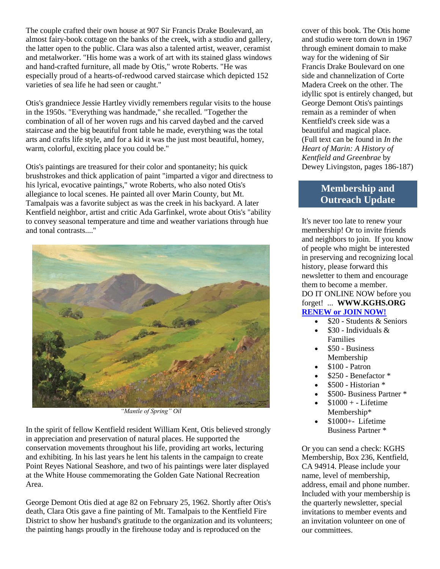The couple crafted their own house at 907 Sir Francis Drake Boulevard, an almost fairy-book cottage on the banks of the creek, with a studio and gallery, the latter open to the public. Clara was also a talented artist, weaver, ceramist and metalworker. "His home was a work of art with its stained glass windows and hand-crafted furniture, all made by Otis," wrote Roberts. "He was especially proud of a hearts-of-redwood carved staircase which depicted 152 varieties of sea life he had seen or caught."

Otis's grandniece Jessie Hartley vividly remembers regular visits to the house in the 1950s. "Everything was handmade," she recalled. "Together the combination of all of her woven rugs and his carved daybed and the carved staircase and the big beautiful front table he made, everything was the total arts and crafts life style, and for a kid it was the just most beautiful, homey, warm, colorful, exciting place you could be."

Otis's paintings are treasured for their color and spontaneity; his quick brushstrokes and thick application of paint "imparted a vigor and directness to his lyrical, evocative paintings," wrote Roberts, who also noted Otis's allegiance to local scenes. He painted all over Marin County, but Mt. Tamalpais was a favorite subject as was the creek in his backyard. A later Kentfield neighbor, artist and critic Ada Garfinkel, wrote about Otis's "ability to convey seasonal temperature and time and weather variations through hue and tonal contrasts...."



*"Mantle of Spring" Oil*

In the spirit of fellow Kentfield resident William Kent, Otis believed strongly in appreciation and preservation of natural places. He supported the conservation movements throughout his life, providing art works, lecturing and exhibiting. In his last years he lent his talents in the campaign to create Point Reyes National Seashore, and two of his paintings were later displayed at the White House commemorating the Golden Gate National Recreation Area.

George Demont Otis died at age 82 on February 25, 1962. Shortly after Otis's death, Clara Otis gave a fine painting of Mt. Tamalpais to the Kentfield Fire District to show her husband's gratitude to the organization and its volunteers; the painting hangs proudly in the firehouse today and is reproduced on the

cover of this book. The Otis home and studio were torn down in 1967 through eminent domain to make way for the widening of Sir Francis Drake Boulevard on one side and channelization of Corte Madera Creek on the other. The idyllic spot is entirely changed, but George Demont Otis's paintings remain as a reminder of when Kentfield's creek side was a beautiful and magical place. (Full text can be found in *In the Heart of Marin: A History of Kentfield and Greenbrae* by Dewey Livingston, pages 186-187)

## **Membership and Outreach Update**

It's never too late to renew your membership! Or to invite friends and neighbors to join. If you know of people who might be interested in preserving and recognizing local history, please forward this newsletter to them and encourage them to become a member. DO IT ONLINE NOW before you forget! ... **WWW.KGHS.ORG [RENEW or JOIN NOW!](http://www.kghs.org/#%21membership/c11kz)**

- $\bullet$  \$20 Students & Seniors
- \$30 Individuals & Families
- \$50 Business Membership
- \$100 Patron
- \$250 Benefactor \*
- \$500 Historian \*
- \$500- Business Partner \*
- \$1000 + Lifetime Membership\*
- \$1000+- Lifetime Business Partner \*

Or you can send a check: KGHS Membership, Box 236, Kentfield, CA 94914. Please include your name, level of membership, address, email and phone number. Included with your membership is the quarterly newsletter, special invitations to member events and an invitation volunteer on one of our committees.